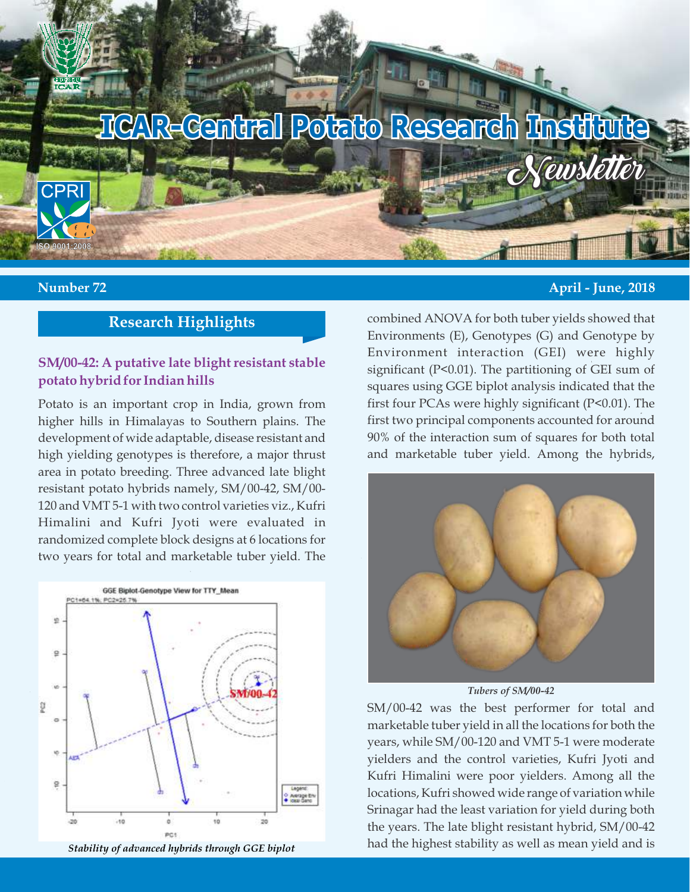

#### **Number 72 April - June, 2018**

# **Research Highlights**

#### **SM/00-42: A putative late blight resistant stable potato hybrid for Indian hills**

Potato is an important crop in India, grown from higher hills in Himalayas to Southern plains. The development of wide adaptable, disease resistant and high yielding genotypes is therefore, a major thrust area in potato breeding. Three advanced late blight resistant potato hybrids namely, SM/00-42, SM/00- 120 and VMT 5-1 with two control varieties viz., Kufri Himalini and Kufri Jyoti were evaluated in randomized complete block designs at 6 locations for two years for total and marketable tuber yield. The





combined ANOVA for both tuber yields showed that Environments (E), Genotypes (G) and Genotype by Environment interaction (GEI) were highly significant (P<0.01). The partitioning of GEI sum of squares using GGE biplot analysis indicated that the first four PCAs were highly significant (P<0.01). The first two principal components accounted for around 90% of the interaction sum of squares for both total and marketable tuber yield. Among the hybrids,



*Tubers of SM/00-42*

SM/00-42 was the best performer for total and marketable tuber yield in all the locations for both the years, while SM/00-120 and VMT 5-1 were moderate yielders and the control varieties, Kufri Jyoti and Kufri Himalini were poor yielders. Among all the locations, Kufri showed wide range of variation while Srinagar had the least variation for yield during both the years. The late blight resistant hybrid, SM/00-42 had the highest stability as well as mean yield and is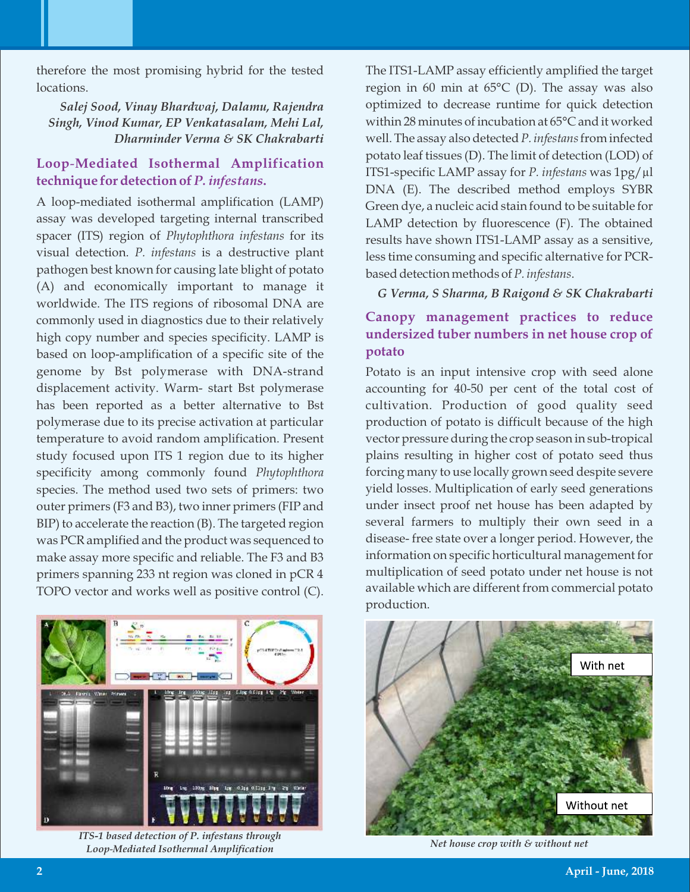therefore the most promising hybrid for the tested locations.

*Salej Sood, Vinay Bhardwaj, Dalamu, Rajendra Singh, Vinod Kumar, EP Venkatasalam, Mehi Lal, Dharminder Verma & SK Chakrabarti*

## **Loop**-**Mediated Isothermal Amplification technique for detection of** *P. infestans***.**

A loop-mediated isothermal amplification (LAMP) assay was developed targeting internal transcribed spacer (ITS) region of *Phytophthora infestans* for its visual detection. *P. infestans* is a destructive plant pathogen best known for causing late blight of potato (A) and economically important to manage it worldwide. The ITS regions of ribosomal DNA are commonly used in diagnostics due to their relatively high copy number and species specificity. LAMP is based on loop-amplification of a specific site of the genome by Bst polymerase with DNA-strand displacement activity. Warm- start Bst polymerase has been reported as a better alternative to Bst polymerase due to its precise activation at particular temperature to avoid random amplification. Present study focused upon ITS 1 region due to its higher specificity among commonly found *Phytophthora* species. The method used two sets of primers: two outer primers (F3 and B3), two inner primers (FIP and BIP) to accelerate the reaction (B). The targeted region was PCR amplified and the product was sequenced to make assay more specific and reliable. The F3 and B3 primers spanning 233 nt region was cloned in pCR 4 TOPO vector and works well as positive control (C).



*ITS-1 based detection of P. infestans through Loop*-*Mediated Isothermal Amplication Net house crop with & without net*

The ITS1-LAMP assay efficiently amplified the target region in 60 min at 65°C (D). The assay was also optimized to decrease runtime for quick detection within 28 minutes of incubation at 65°C and it worked well. The assay also detected *P. infestans*from infected potato leaf tissues (D). The limit of detection (LOD) of ITS1-specific LAMP assay for *P. infestans* was 1pg/µl DNA (E). The described method employs SYBR Green dye, a nucleic acid stain found to be suitable for LAMP detection by fluorescence (F). The obtained results have shown ITS1-LAMP assay as a sensitive, less time consuming and specific alternative for PCRbased detection methods of *P. infestans*.

*G Verma, S Sharma, B Raigond & SK Chakrabarti*

# **Canopy management practices to reduce undersized tuber numbers in net house crop of potato**

Potato is an input intensive crop with seed alone accounting for 40-50 per cent of the total cost of cultivation. Production of good quality seed production of potato is difficult because of the high vector pressure during the crop season in sub-tropical plains resulting in higher cost of potato seed thus forcing many to use locally grown seed despite severe yield losses. Multiplication of early seed generations under insect proof net house has been adapted by several farmers to multiply their own seed in a disease- free state over a longer period. However, the information on specific horticultural management for multiplication of seed potato under net house is not available which are different from commercial potato production.

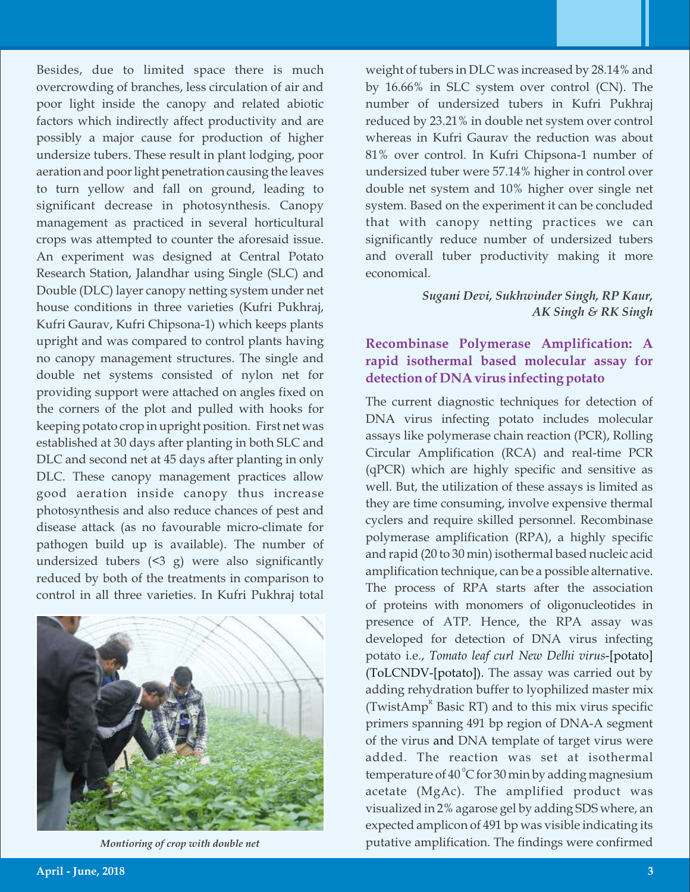Besides, due to limited space there is much overcrowding of branches, less circulation of air and poor light inside the canopy and related abiotic factors which indirectly affect productivity and are possibly a major cause for production of higher undersize tubers. These result in plant lodging, poor aeration and poor light penetration causing the leaves to turn yellow and fall on ground, leading to significant decrease in photosynthesis. Canopy management as practiced in several horticultural crops was attempted to counter the aforesaid issue. An experiment was designed at Central Potato Research Station, Jalandhar using Single (SLC) and Double (DLC) layer canopy netting system under net house conditions in three varieties (Kufri Pukhraj, Kufri Gaurav, Kufri Chipsona-1) which keeps plants upright and was compared to control plants having no canopy management structures. The single and double net systems consisted of nylon net for providing support were attached on angles fixed on the corners of the plot and pulled with hooks for keeping potato crop in upright position. First net was established at 30 days after planting in both SLC and DLC and second net at 45 days after planting in only DLC. These canopy management practices allow good aeration inside canopy thus increase photosynthesis and also reduce chances of pest and disease attack (as no favourable micro-climate for pathogen build up is available). The number of undersized tubers  $(5, 3, 9)$  were also significantly reduced by both of the treatments in comparison to control in all three varieties. In Kufri Pukhraj total



weight of tubers in DLC was increased by 28.14% and by 16.66% in SLC system over control (CN). The number of undersized tubers in Kufri Pukhraj reduced by 23.21% in double net system over control whereas in Kufri Gaurav the reduction was about 81% over control. In Kufri Chipsona-1 number of undersized tuber were 57.14% higher in control over double net system and 10% higher over single net system. Based on the experiment it can be concluded that with canopy netting practices we can significantly reduce number of undersized tubers and overall tuber productivity making it more economical.

#### *Sugani Devi, Sukhwinder Singh, RP Kaur, AK Singh & RK Singh*

## **Recombinase Polymerase Amplification: A rapid isothermal based molecular assay for detection of DNA virus infecting potato**

The current diagnostic techniques for detection of DNA virus infecting potato includes molecular assays like polymerase chain reaction (PCR), Rolling Circular Amplification (RCA) and real-time PCR (qPCR) which are highly specific and sensitive as well. But, the utilization of these assays is limited as they are time consuming, involve expensive thermal cyclers and require skilled personnel. Recombinase polymerase amplification (RPA), a highly specific and rapid (20 to 30 min) isothermal based nucleic acid amplification technique, can be a possible alternative. The process of RPA starts after the association of proteins with monomers of oligonucleotides in presence of ATP. Hence, the RPA assay was developed for detection of DNA virus infecting potato i.e., *Tomato leaf curl New Delhi virus*-[potato] (ToLCNDV-[potato]). The assay was carried out by adding rehydration buffer to lyophilized master mix (TwistAmp<sup>R</sup> Basic RT) and to this mix virus specific primers spanning 491 bp region of DNA-A segment of the virus and DNA template of target virus were added. The reaction was set at isothermal temperature of  $40^{\circ}$ C for 30 min by adding magnesium acetate (MgAc). The amplified product was visualized in 2% agarose gel by adding SDS where, an expected amplicon of 491 bp was visible indicating its *Montioring of crop with double net* putative amplification. The findings were confirmed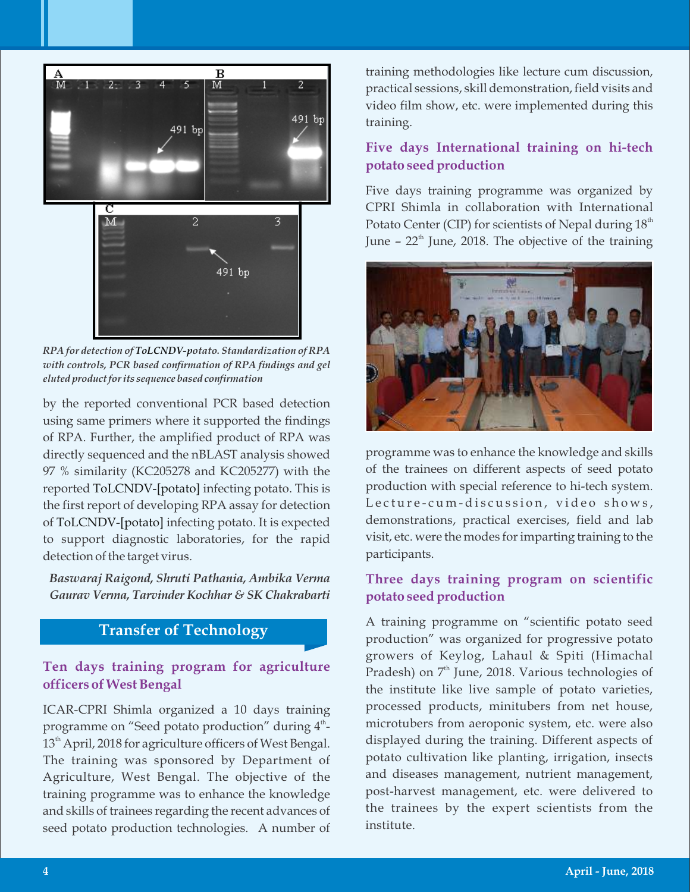

*RPA for detection of ToLCNDV-potato. Standardization of RPA with controls, PCR based confirmation of RPA findings and gel eluted product for its sequence based conrmation*

by the reported conventional PCR based detection using same primers where it supported the findings of RPA. Further, the amplified product of RPA was directly sequenced and the nBLAST analysis showed 97 % similarity (KC205278 and KC205277) with the reported ToLCNDV-[potato] infecting potato. This is the first report of developing RPA assay for detection of ToLCNDV-[potato] infecting potato. It is expected to support diagnostic laboratories, for the rapid detection of the target virus.

*Baswaraj Raigond, Shruti Pathania, Ambika Verma Gaurav Verma, Tarvinder Kochhar & SK Chakrabarti*

# **Transfer of Technology**

### **Ten days training program for agriculture officers of West Bengal**

ICAR-CPRI Shimla organized a 10 days training programme on "Seed potato production" during  $4^{\textrm{\tiny th}}$ - $13<sup>th</sup>$  April, 2018 for agriculture officers of West Bengal. The training was sponsored by Department of Agriculture, West Bengal. The objective of the training programme was to enhance the knowledge and skills of trainees regarding the recent advances of seed potato production technologies. A number of training methodologies like lecture cum discussion, practical sessions, skill demonstration, field visits and video film show, etc. were implemented during this training.

## **Five days International training on hi-tech potato seed production**

Five days training programme was organized by CPRI Shimla in collaboration with International Potato Center (CIP) for scientists of Nepal during  $18<sup>th</sup>$ June –  $22<sup>th</sup>$  June, 2018. The objective of the training



programme was to enhance the knowledge and skills of the trainees on different aspects of seed potato production with special reference to hi-tech system. Lecture-cum-discussion, video shows, demonstrations, practical exercises, field and lab visit, etc. were the modes for imparting training to the participants.

## **Three days training program on scientific potato seed production**

A training programme on "scientific potato seed production" was organized for progressive potato growers of Keylog, Lahaul & Spiti (Himachal Pradesh) on  $7^{\rm th}$  June, 2018. Various technologies of the institute like live sample of potato varieties, processed products, minitubers from net house, microtubers from aeroponic system, etc. were also displayed during the training. Different aspects of potato cultivation like planting, irrigation, insects and diseases management, nutrient management, post-harvest management, etc. were delivered to the trainees by the expert scientists from the institute.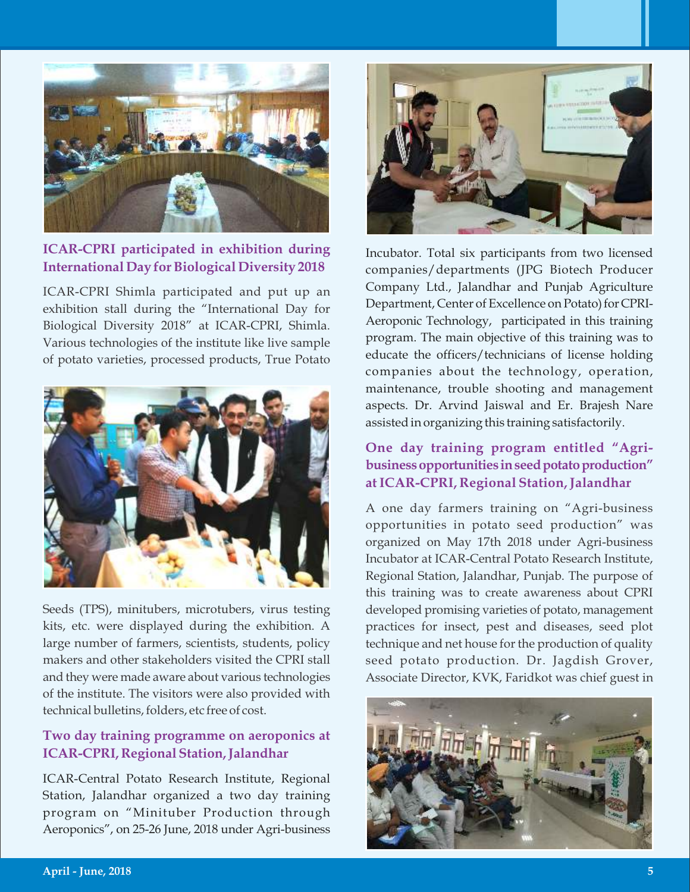

**ICAR-CPRI participated in exhibition during International Day for Biological Diversity 2018**

ICAR-CPRI Shimla participated and put up an exhibition stall during the "International Day for Biological Diversity 2018" at ICAR-CPRI, Shimla. Various technologies of the institute like live sample of potato varieties, processed products, True Potato



Seeds (TPS), minitubers, microtubers, virus testing kits, etc. were displayed during the exhibition. A large number of farmers, scientists, students, policy makers and other stakeholders visited the CPRI stall and they were made aware about various technologies of the institute. The visitors were also provided with technical bulletins, folders, etc free of cost.

## **Two day training programme on aeroponics at ICAR-CPRI, Regional Station, Jalandhar**

ICAR-Central Potato Research Institute, Regional Station, Jalandhar organized a two day training program on "Minituber Production through Aeroponics", on 25-26 June, 2018 under Agri-business



Incubator. Total six participants from two licensed companies/departments (JPG Biotech Producer Company Ltd., Jalandhar and Punjab Agriculture Department, Center of Excellence on Potato) for CPRI-Aeroponic Technology, participated in this training program. The main objective of this training was to educate the officers/technicians of license holding companies about the technology, operation, maintenance, trouble shooting and management aspects. Dr. Arvind Jaiswal and Er. Brajesh Nare assisted in organizing this training satisfactorily.

# **One day training program entitled "Agribusinessopportunities inseedpotatoproduction" atICAR-CPRI, Regional Station,Jalandhar**

A one day farmers training on "Agri-business opportunities in potato seed production" was organized on May 17th 2018 under Agri-business Incubator at ICAR-Central Potato Research Institute, Regional Station, Jalandhar, Punjab. The purpose of this training was to create awareness about CPRI developed promising varieties of potato, management practices for insect, pest and diseases, seed plot technique and net house for the production of quality seed potato production. Dr. Jagdish Grover, Associate Director, KVK, Faridkot was chief guest in

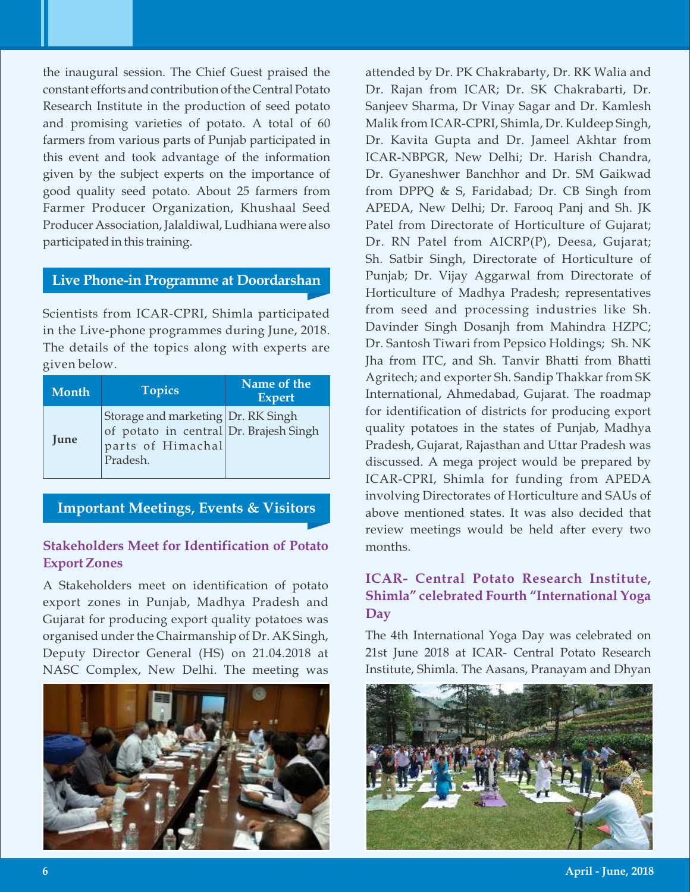the inaugural session. The Chief Guest praised the constant efforts and contribution of the Central Potato Research Institute in the production of seed potato and promising varieties of potato. A total of 60 farmers from various parts of Punjab participated in this event and took advantage of the information given by the subject experts on the importance of good quality seed potato. About 25 farmers from Farmer Producer Organization, Khushaal Seed Producer Association, Jalaldiwal, Ludhiana were also participated in this training.

#### **Live Phone-in Programme at Doordarshan**

Scientists from ICAR-CPRI, Shimla participated in the Live-phone programmes during June, 2018. The details of the topics along with experts are given below.

| <b>Month</b> | <b>Topics</b>                                                                                                 | Name of the<br><b>Expert</b> |
|--------------|---------------------------------------------------------------------------------------------------------------|------------------------------|
| June         | Storage and marketing Dr. RK Singh<br>of potato in central Dr. Brajesh Singh<br>parts of Himachal<br>Pradesh. |                              |

**Important Meetings, Events & Visitors**

# **Stakeholders Meet for Identification of Potato Export Zones**

A Stakeholders meet on identification of potato export zones in Punjab, Madhya Pradesh and Gujarat for producing export quality potatoes was organised under the Chairmanship of Dr. AK Singh, Deputy Director General (HS) on 21.04.2018 at NASC Complex, New Delhi. The meeting was



attended by Dr. PK Chakrabarty, Dr. RK Walia and Dr. Rajan from ICAR; Dr. SK Chakrabarti, Dr. Sanjeev Sharma, Dr Vinay Sagar and Dr. Kamlesh Malik from ICAR-CPRI, Shimla, Dr. Kuldeep Singh, Dr. Kavita Gupta and Dr. Jameel Akhtar from ICAR-NBPGR, New Delhi; Dr. Harish Chandra, Dr. Gyaneshwer Banchhor and Dr. SM Gaikwad from DPPQ & S, Faridabad; Dr. CB Singh from APEDA, New Delhi; Dr. Farooq Panj and Sh. JK Patel from Directorate of Horticulture of Gujarat; Dr. RN Patel from AICRP(P), Deesa, Gujarat; Sh. Satbir Singh, Directorate of Horticulture of Punjab; Dr. Vijay Aggarwal from Directorate of Horticulture of Madhya Pradesh; representatives from seed and processing industries like Sh. Davinder Singh Dosanjh from Mahindra HZPC; Dr. Santosh Tiwari from Pepsico Holdings; Sh. NK Jha from ITC, and Sh. Tanvir Bhatti from Bhatti Agritech; and exporter Sh. Sandip Thakkar from SK International, Ahmedabad, Gujarat. The roadmap for identification of districts for producing export quality potatoes in the states of Punjab, Madhya Pradesh, Gujarat, Rajasthan and Uttar Pradesh was discussed. A mega project would be prepared by ICAR-CPRI, Shimla for funding from APEDA involving Directorates of Horticulture and SAUs of above mentioned states. It was also decided that review meetings would be held after every two months.

## **ICAR- Central Potato Research Institute, Shimla" celebrated Fourth "International Yoga Day**

The 4th International Yoga Day was celebrated on 21st June 2018 at ICAR- Central Potato Research Institute, Shimla. The Aasans, Pranayam and Dhyan

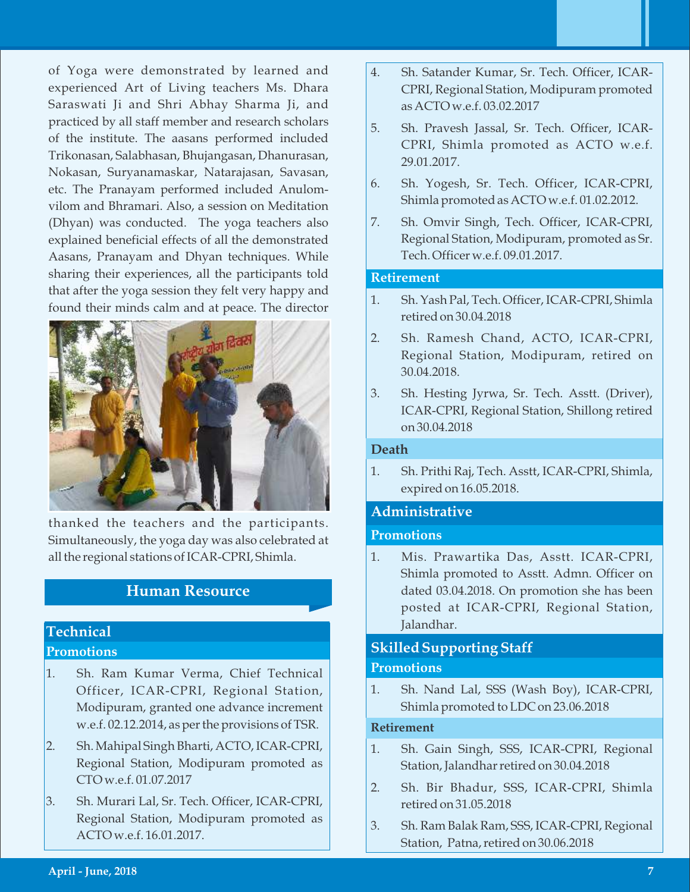of Yoga were demonstrated by learned and experienced Art of Living teachers Ms. Dhara Saraswati Ji and Shri Abhay Sharma Ji, and practiced by all staff member and research scholars of the institute. The aasans performed included Trikonasan, Salabhasan, Bhujangasan, Dhanurasan, Nokasan, Suryanamaskar, Natarajasan, Savasan, etc. The Pranayam performed included Anulomvilom and Bhramari. Also, a session on Meditation (Dhyan) was conducted. The yoga teachers also explained beneficial effects of all the demonstrated Aasans, Pranayam and Dhyan techniques. While sharing their experiences, all the participants told that after the yoga session they felt very happy and found their minds calm and at peace. The director



thanked the teachers and the participants. Simultaneously, the yoga day was also celebrated at all the regional stations of ICAR-CPRI, Shimla.

# **Human Resource**

## **Technical Promotions**

- 1. Sh. Ram Kumar Verma, Chief Technical Officer, ICAR-CPRI, Regional Station, Modipuram, granted one advance increment w.e.f. 02.12.2014, as per the provisions of TSR.
- 2. Sh. Mahipal Singh Bharti, ACTO, ICAR-CPRI, Regional Station, Modipuram promoted as CTO w.e.f. 01.07.2017
- 3. Sh. Murari Lal, Sr. Tech. Officer, ICAR-CPRI, Regional Station, Modipuram promoted as ACTO w.e.f. 16.01.2017.
- 4. Sh. Satander Kumar, Sr. Tech. Officer, ICAR-CPRI, Regional Station, Modipuram promoted as ACTO w.e.f. 03.02.2017
- 5. Sh. Pravesh Jassal, Sr. Tech. Officer, ICAR-CPRI, Shimla promoted as ACTO w.e.f. 29.01.2017.
- 6. Sh. Yogesh, Sr. Tech. Officer, ICAR-CPRI, Shimla promoted as ACTO w.e.f. 01.02.2012.
- 7. Sh. Omvir Singh, Tech. Officer, ICAR-CPRI, Regional Station, Modipuram, promoted as Sr. Tech. Officer w.e.f. 09.01.2017.

#### **Retirement**

- 1. Sh. Yash Pal, Tech. Officer, ICAR-CPRI, Shimla retired on 30.04.2018
- 2. Sh. Ramesh Chand, ACTO, ICAR-CPRI, Regional Station, Modipuram, retired on 30.04.2018.
- 3. Sh. Hesting Jyrwa, Sr. Tech. Asstt. (Driver), ICAR-CPRI, Regional Station, Shillong retired on 30.04.2018

#### **Death**

1. Sh. Prithi Raj, Tech. Asstt, ICAR-CPRI, Shimla, expired on 16.05.2018.

#### **Administrative**

#### **Promotions**

1. Mis. Prawartika Das, Asstt. ICAR-CPRI, Shimla promoted to Asstt. Admn. Officer on dated 03.04.2018. On promotion she has been posted at ICAR-CPRI, Regional Station, Jalandhar.

## **Skilled Supporting Staff Promotions**

1. Sh. Nand Lal, SSS (Wash Boy), ICAR-CPRI, Shimla promoted to LDC on 23.06.2018

#### **Retirement**

- 1. Sh. Gain Singh, SSS, ICAR-CPRI, Regional Station, Jalandhar retired on 30.04.2018
- 2. Sh. Bir Bhadur, SSS, ICAR-CPRI, Shimla retired on 31.05.2018
- 3. Sh. Ram Balak Ram, SSS, ICAR-CPRI, Regional Station, Patna, retired on 30.06.2018